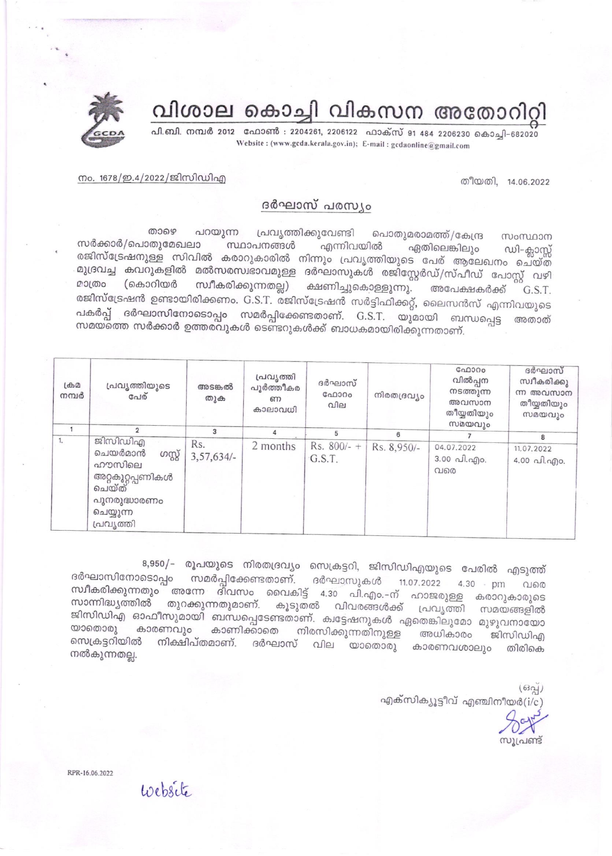## വിശാല കൊച്ചി വികസന അതോറിറ്റി

പി.ബി. നമ്പർ 2012 ഫോൺ : 2204261, 2206122 ഫാക്സ് 91 484 2206230 കൊച്ചി-682020 Website: (www.gcda.kerala.gov.in); E-mail: gcdaonline@gmail.com



തീയതി, 14.06.2022

## നം. 1678/ഇ.4/2022/ജിസിഡിഎ

## ദർഘാസ് പരസ്യം

താഴെ പറയുന്ന പ്രവൃത്തിക്കുവേണ്ടി പൊതുമരാമത്ത്/കേന്ദ്ര സംസ്ഥാന സർക്കാർ/പൊതുമേഖലാ സ്ഥാപനങ്ങൾ എന്നിവയിൽ ഏതിലെങ്കിലും ഡി-ക്ലാസ്സ് രജിസ്ട്രേഷനുള്ള സിവിൽ കരാറുകാരിൽ നിന്നും പ്രവൃത്തിയുടെ പേര് ആലേഖനം ചെയ്ത മുദ്രവച്ച കവറുകളിൽ മൽസരസ്വഭാവമുള്ള ദർഘാസുകൾ രജിസ്റ്റേർഡ്/സ്പീഡ് പോസ്റ്റ് വഴി മാത്രം (കൊറിയർ സ്വീകരിക്കുന്നതല്ല) ക്ഷണിച്ചുകൊള്ളുന്നു. അപേക്ഷകർക്ക് G.S.T. രജിസ്ട്രേഷൻ ഉണ്ടായിരിക്കണം. G.S.T. രജിസ്ട്രേഷൻ സർട്ടിഫിക്കറ്റ്, ലൈസൻസ് എന്നിവയുടെ പകർപ്പ് ദർഘാസിനോടൊപ്പം സമർപ്പിക്കേണ്ടതാണ്. G.S.T. യുമായി ബന്ധപ്പെട്ട അതാത് സമയത്തെ സർക്കാർ ഉത്തരവുകൾ ടെണ്ടറുകൾക്ക് ബാധകമായിരിക്കുന്നതാണ്.

| $L \oplus \mathcal{D}$<br>നമ്പർ | പ്രവൃത്തിയുടെ<br>പേര്                                                                                        | അടങ്കൽ<br>തുക       | പ്രവൃത്തി<br>പൂർത്തീകര<br>ണ<br>കാലാവധി | ദർഘാസ്<br>$G_{00000}$<br>വില | നിരതദ്രവ്യം | GAD300<br>വിൽപ്പന<br>നടത്തുന്ന<br>അവസാന<br>തീയ്യതിയും<br>സമയവും | ദർഘാസ്<br>സ്വീകരിക്കു<br>ന്ന അവസാന<br>തീയ്യതിയും<br>സമയവും |
|---------------------------------|--------------------------------------------------------------------------------------------------------------|---------------------|----------------------------------------|------------------------------|-------------|-----------------------------------------------------------------|------------------------------------------------------------|
|                                 |                                                                                                              | 3                   |                                        | 5                            | 6           |                                                                 | 8                                                          |
| ι.                              | ജിസിഡിഎ<br>ചെയർമാൻ<br>ပာဏ္<br>ഹൗസിലെ<br>അറ്റകുറ്റപ്പണികൾ<br>ചെയ്ത്<br>പുനരുദ്ധാരണം<br>ചെയ്യുന്ന<br>പ്രവൃത്തി | Rs.<br>$3,57,634/-$ | 2 months                               | Rs. $800/-$ +<br>G.S.T.      | Rs. 8,950/- | 04.07.2022<br>3.00 പി.എo.<br>വരെ                                | 11.07.2022<br>4.00 പി.എo.                                  |

8,950/- രൂപയുടെ നിരതദ്രവ്യം സെക്രട്ടറി, ജിസിഡിഎയുടെ പേരിൽ എടുത്ത് ദർഘാസിനോടൊപ്പം സമർപ്പിക്കേണ്ടതാണ്. ദർഘാസുകൾ 11.07.2022 4.30 - pm വരെ സ്ഥീകരിക്കുന്നതും അന്നേ ദിവസം വൈകിട്ട് 4.30 പി.എം.-ന് ഹാജരുള്ള കരാറുകാരുടെ സാന്നിദ്ധ്യത്തിൽ തുറക്കുന്നതുമാണ്. കൂടുതൽ വിവരങ്ങൾക്ക് പ്രവൃത്തി സമയങ്ങളിൽ ജിസിഡിഎ ഓഫീസുമായി ബന്ധപ്പെടേണ്ടതാണ്. ക്വട്ടേഷനുകൾ ഏതെങ്കിലുമോ മുഴുവനായോ കാരണവും കാണിക്കാതെ നിരസിക്കുന്നതിനുള്ള അധികാരം യാതൊരു ജിസിഡിഎ സെക്രട്ടറിയിൽ നിക്ഷിപ്തമാണ്. ദർഘാസ് വില യാതൊരു കാരണവശാലും തിരികെ നൽകുന്നതല്ല.

> $(632)$ എക്സിക്യൂട്ടീവ് എഞ്ചിനീയർ( $i/c$ )

സുപ്രണ്ട്

RPR-16.06.2022

Website